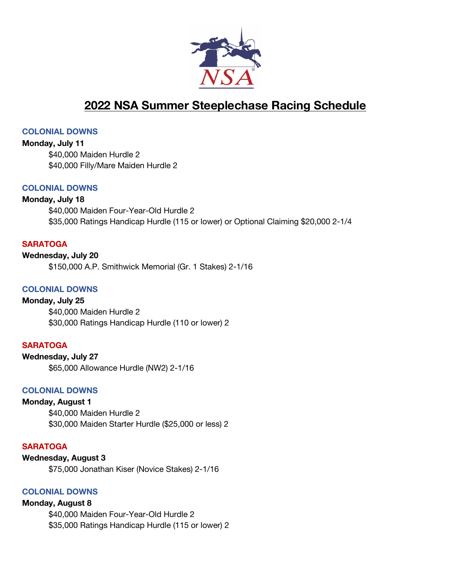

# **2022 NSA Summer Steeplechase Racing Schedule**

#### **COLONIAL DOWNS**

**Monday, July 11** \$40,000 Maiden Hurdle 2 \$40,000 Filly/Mare Maiden Hurdle 2

### **COLONIAL DOWNS**

## **Monday, July 18**

\$40,000 Maiden Four-Year-Old Hurdle 2 \$35,000 Ratings Handicap Hurdle (115 or lower) or Optional Claiming \$20,000 2-1/4

## **SARATOGA**

**Wednesday, July 20** \$150,000 A.P. Smithwick Memorial (Gr. 1 Stakes) 2-1/16

## **COLONIAL DOWNS**

**Monday, July 25** \$40,000 Maiden Hurdle 2 \$30,000 Ratings Handicap Hurdle (110 or lower) 2

## **SARATOGA**

**Wednesday, July 27** \$65,000 Allowance Hurdle (NW2) 2-1/16

## **COLONIAL DOWNS**

## **Monday, August 1**

\$40,000 Maiden Hurdle 2 \$30,000 Maiden Starter Hurdle (\$25,000 or less) 2

## **SARATOGA**

#### **Wednesday, August 3**

\$75,000 Jonathan Kiser (Novice Stakes) 2-1/16

## **COLONIAL DOWNS**

**Monday, August 8**

\$40,000 Maiden Four-Year-Old Hurdle 2 \$35,000 Ratings Handicap Hurdle (115 or lower) 2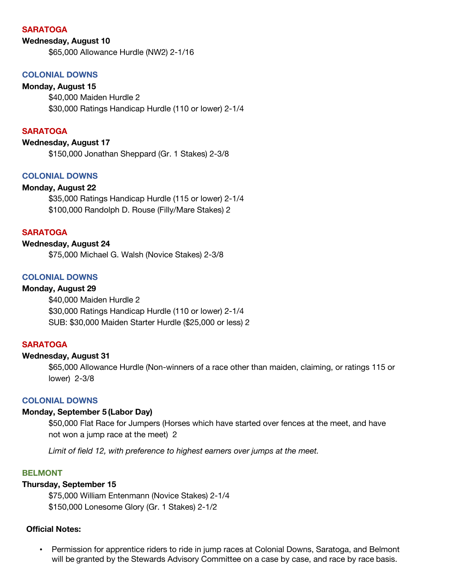#### **SARATOGA**

#### **Wednesday, August 10**

\$65,000 Allowance Hurdle (NW2) 2-1/16

## **COLONIAL DOWNS**

**Monday, August 15** \$40,000 Maiden Hurdle 2 \$30,000 Ratings Handicap Hurdle (110 or lower) 2-1/4

#### **SARATOGA**

#### **Wednesday, August 17**

\$150,000 Jonathan Sheppard (Gr. 1 Stakes) 2-3/8

## **COLONIAL DOWNS**

#### **Monday, August 22**

\$35,000 Ratings Handicap Hurdle (115 or lower) 2-1/4 \$100,000 Randolph D. Rouse (Filly/Mare Stakes) 2

#### **SARATOGA**

## **Wednesday, August 24**

\$75,000 Michael G. Walsh (Novice Stakes) 2-3/8

## **COLONIAL DOWNS**

## **Monday, August 29**

\$40,000 Maiden Hurdle 2 \$30,000 Ratings Handicap Hurdle (110 or lower) 2-1/4 SUB: \$30,000 Maiden Starter Hurdle (\$25,000 or less) 2

### **SARATOGA**

#### **Wednesday, August 31**

\$65,000 Allowance Hurdle (Non-winners of a race other than maiden, claiming, or ratings 115 or lower) 2-3/8

#### **COLONIAL DOWNS**

#### **Monday, September 5 (Labor Day)**

\$50,000 Flat Race for Jumpers (Horses which have started over fences at the meet, and have not won a jump race at the meet) 2

*Limit of field 12, with preference to highest earners over jumps at the meet.*

#### **BELMONT**

#### **Thursday, September 15**

\$75,000 William Entenmann (Novice Stakes) 2-1/4 \$150,000 Lonesome Glory (Gr. 1 Stakes) 2-1/2

## **Official Notes:**

• Permission for apprentice riders to ride in jump races at Colonial Downs, Saratoga, and Belmont will be granted by the Stewards Advisory Committee on a case by case, and race by race basis.